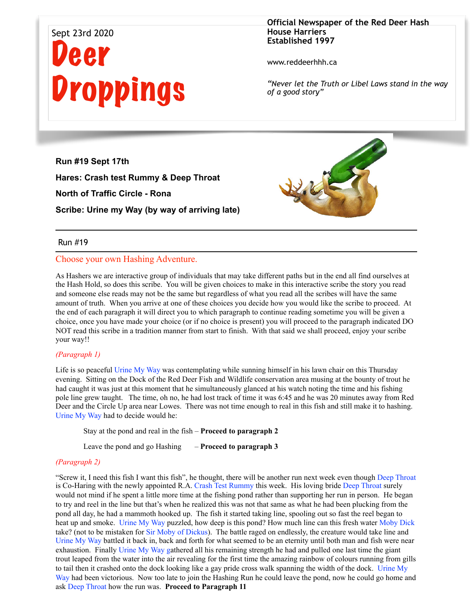# Sept 23rd 2020 Deer **Droppings**

**Official Newspaper of the Red Deer Hash House Harriers Established 1997** 

www.reddeerhhh.ca

*"Never let the Truth or Libel Laws stand in the way of a good story"*

**Run #19 Sept 17th Hares: Crash test Rummy & Deep Throat North of Traffic Circle - Rona Scribe: Urine my Way (by way of arriving late)**

# Run #19

#### Choose your own Hashing Adventure.

As Hashers we are interactive group of individuals that may take different paths but in the end all find ourselves at the Hash Hold, so does this scribe. You will be given choices to make in this interactive scribe the story you read and someone else reads may not be the same but regardless of what you read all the scribes will have the same amount of truth. When you arrive at one of these choices you decide how you would like the scribe to proceed. At the end of each paragraph it will direct you to which paragraph to continue reading sometime you will be given a choice, once you have made your choice (or if no choice is present) you will proceed to the paragraph indicated DO NOT read this scribe in a tradition manner from start to finish. With that said we shall proceed, enjoy your scribe your way!!

#### *(Paragraph 1)*

Life is so peaceful Urine My Way was contemplating while sunning himself in his lawn chair on this Thursday evening. Sitting on the Dock of the Red Deer Fish and Wildlife conservation area musing at the bounty of trout he had caught it was just at this moment that he simultaneously glanced at his watch noting the time and his fishing pole line grew taught. The time, oh no, he had lost track of time it was 6:45 and he was 20 minutes away from Red Deer and the Circle Up area near Lowes. There was not time enough to real in this fish and still make it to hashing. Urine My Way had to decide would he:

Stay at the pond and real in the fish – **Proceed to paragraph 2**

Leave the pond and go Hashing – **Proceed to paragraph 3**

#### *(Paragraph 2)*

"Screw it, I need this fish I want this fish", he thought, there will be another run next week even though Deep Throat is Co-Haring with the newly appointed R.A. Crash Test Rummy this week. His loving bride Deep Throat surely would not mind if he spent a little more time at the fishing pond rather than supporting her run in person. He began to try and reel in the line but that's when he realized this was not that same as what he had been plucking from the pond all day, he had a mammoth hooked up. The fish it started taking line, spooling out so fast the reel began to heat up and smoke. Urine My Way puzzled, how deep is this pond? How much line can this fresh water Moby Dick take? (not to be mistaken for Sir Moby of Dickus). The battle raged on endlessly, the creature would take line and Urine My Way battled it back in, back and forth for what seemed to be an eternity until both man and fish were near exhaustion. Finally Urine My Way gathered all his remaining strength he had and pulled one last time the giant trout leaped from the water into the air revealing for the first time the amazing rainbow of colours running from gills to tail then it crashed onto the dock looking like a gay pride cross walk spanning the width of the dock. Urine My Way had been victorious. Now too late to join the Hashing Run he could leave the pond, now he could go home and ask Deep Throat how the run was. **Proceed to Paragraph 11**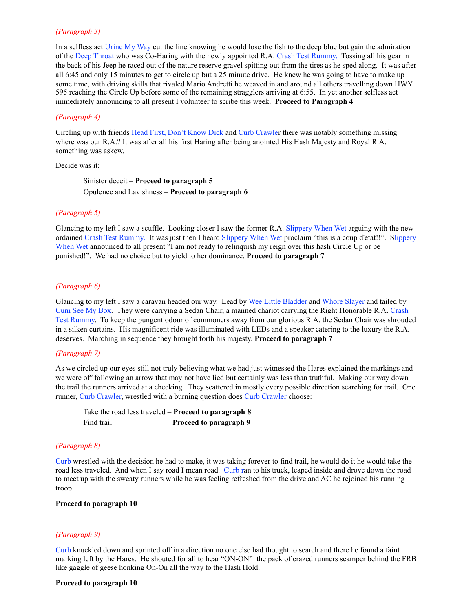#### *(Paragraph 3)*

In a selfless act Urine My Way cut the line knowing he would lose the fish to the deep blue but gain the admiration of the Deep Throat who was Co-Haring with the newly appointed R.A. Crash Test Rummy. Tossing all his gear in the back of his Jeep he raced out of the nature reserve gravel spitting out from the tires as he sped along. It was after all 6:45 and only 15 minutes to get to circle up but a 25 minute drive. He knew he was going to have to make up some time, with driving skills that rivaled Mario Andretti he weaved in and around all others travelling down HWY 595 reaching the Circle Up before some of the remaining stragglers arriving at 6:55. In yet another selfless act immediately announcing to all present I volunteer to scribe this week. **Proceed to Paragraph 4**

#### *(Paragraph 4)*

Circling up with friends Head First, Don't Know Dick and Curb Crawler there was notably something missing where was our R.A.? It was after all his first Haring after being anointed His Hash Majesty and Royal R.A. something was askew.

#### Decide was it:

Sinister deceit – **Proceed to paragraph 5** Opulence and Lavishness – **Proceed to paragraph 6** 

#### *(Paragraph 5)*

Glancing to my left I saw a scuffle. Looking closer I saw the former R.A. Slippery When Wet arguing with the new ordained Crash Test Rummy. It was just then I heard Slippery When Wet proclaim "this is a coup d'etat!!". Slippery When Wet announced to all present "I am not ready to relinquish my reign over this hash Circle Up or be punished!". We had no choice but to yield to her dominance. **Proceed to paragraph 7** 

#### *(Paragraph 6)*

Glancing to my left I saw a caravan headed our way. Lead by Wee Little Bladder and Whore Slayer and tailed by Cum See My Box. They were carrying a Sedan Chair, a manned chariot carrying the Right Honorable R.A. Crash Test Rummy. To keep the pungent odour of commoners away from our glorious R.A. the Sedan Chair was shrouded in a silken curtains. His magnificent ride was illuminated with LEDs and a speaker catering to the luxury the R.A. deserves. Marching in sequence they brought forth his majesty. **Proceed to paragraph 7**

#### *(Paragraph 7)*

As we circled up our eyes still not truly believing what we had just witnessed the Hares explained the markings and we were off following an arrow that may not have lied but certainly was less than truthful. Making our way down the trail the runners arrived at a checking. They scattered in mostly every possible direction searching for trail. One runner, Curb Crawler, wrestled with a burning question does Curb Crawler choose:

|            | Take the road less traveled $-$ Proceed to paragraph $8$ |
|------------|----------------------------------------------------------|
| Find trail | - Proceed to paragraph 9                                 |

#### *(Paragraph 8)*

Curb wrestled with the decision he had to make, it was taking forever to find trail, he would do it he would take the road less traveled. And when I say road I mean road. Curb ran to his truck, leaped inside and drove down the road to meet up with the sweaty runners while he was feeling refreshed from the drive and AC he rejoined his running troop.

#### **Proceed to paragraph 10**

#### *(Paragraph 9)*

Curb knuckled down and sprinted off in a direction no one else had thought to search and there he found a faint marking left by the Hares. He shouted for all to hear "ON-ON" the pack of crazed runners scamper behind the FRB like gaggle of geese honking On-On all the way to the Hash Hold.

#### **Proceed to paragraph 10**